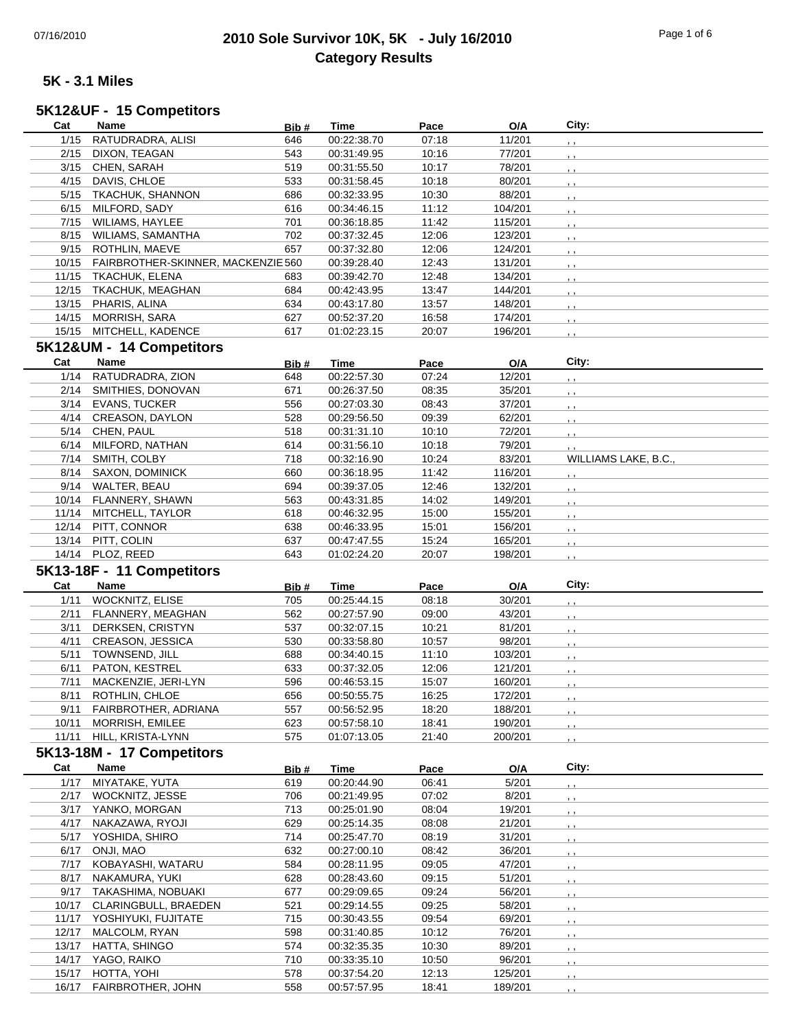## 07/16/2010 **2010 Sole Survivor 10K, 5K - July 16/2010** Page 1 of 6 **Category Results**

#### **5K - 3.1 Miles**

#### **Cat Name Bib # Time Pace O/A City: 5K12&UF - 15 Competitors**

| 1/15  | RATUDRADRA, ALISI                        | 646   | 00:22:38.70 | 07:18 | 11/201  | , ,                  |
|-------|------------------------------------------|-------|-------------|-------|---------|----------------------|
| 2/15  | DIXON, TEAGAN                            | 543   | 00:31:49.95 | 10:16 | 77/201  |                      |
| 3/15  | CHEN, SARAH                              | 519   | 00:31:55.50 | 10:17 | 78/201  |                      |
|       | 4/15 DAVIS, CHLOE                        | 533   | 00:31:58.45 | 10:18 | 80/201  |                      |
|       | 5/15 TKACHUK, SHANNON                    | 686   | 00:32:33.95 | 10:30 | 88/201  | $, \, , \,$          |
| 6/15  | MILFORD, SADY                            | 616   | 00:34:46.15 | 11:12 | 104/201 |                      |
| 7/15  | WILIAMS, HAYLEE                          | 701   | 00:36:18.85 | 11:42 | 115/201 |                      |
|       | 8/15 WILIAMS, SAMANTHA                   | 702   | 00:37:32.45 | 12:06 | 123/201 |                      |
| 9/15  | ROTHLIN, MAEVE                           | 657   | 00:37:32.80 | 12:06 | 124/201 |                      |
|       |                                          |       |             |       |         | , ,                  |
|       | 10/15 FAIRBROTHER-SKINNER, MACKENZIE 560 |       | 00:39:28.40 | 12:43 | 131/201 |                      |
| 11/15 | TKACHUK, ELENA                           | 683   | 00:39:42.70 | 12:48 | 134/201 |                      |
|       | 12/15 TKACHUK, MEAGHAN                   | 684   | 00:42:43.95 | 13:47 | 144/201 |                      |
| 13/15 | PHARIS, ALINA                            | 634   | 00:43:17.80 | 13:57 | 148/201 | $, \, , \,$          |
| 14/15 | MORRISH, SARA                            | 627   | 00:52:37.20 | 16:58 | 174/201 |                      |
|       | 15/15 MITCHELL, KADENCE                  | 617   | 01:02:23.15 | 20:07 | 196/201 | $, \, ,$             |
|       | 5K12&UM - 14 Competitors                 |       |             |       |         |                      |
| Cat   | Name                                     |       |             |       |         | City:                |
|       |                                          | Bib#  | Time        | Pace  | O/A     |                      |
| 1/14  | RATUDRADRA, ZION                         | 648   | 00:22:57.30 | 07:24 | 12/201  | $, \, \,$            |
|       | 2/14 SMITHIES, DONOVAN                   | 671   | 00:26:37.50 | 08:35 | 35/201  | , ,                  |
| 3/14  | <b>EVANS, TUCKER</b>                     | 556   | 00:27:03.30 | 08:43 | 37/201  | , ,                  |
| 4/14  | <b>CREASON, DAYLON</b>                   | 528   | 00:29:56.50 | 09:39 | 62/201  | $, \, , \,$          |
|       | 5/14 CHEN, PAUL                          | 518   | 00:31:31.10 | 10:10 | 72/201  | , ,                  |
| 6/14  | MILFORD, NATHAN                          | 614   | 00:31:56.10 | 10:18 | 79/201  | , ,                  |
| 7/14  | SMITH, COLBY                             | 718   | 00:32:16.90 | 10:24 | 83/201  | WILLIAMS LAKE, B.C., |
| 8/14  | <b>SAXON, DOMINICK</b>                   | 660   | 00:36:18.95 | 11:42 | 116/201 |                      |
|       | 9/14 WALTER, BEAU                        | 694   | 00:39:37.05 | 12:46 | 132/201 | $, \, , \,$          |
|       | 10/14 FLANNERY, SHAWN                    | 563   | 00:43:31.85 | 14:02 |         | , ,                  |
|       |                                          |       |             |       | 149/201 | $5 - 5$              |
| 11/14 | MITCHELL, TAYLOR                         | 618   | 00:46:32.95 | 15:00 | 155/201 | $, \, , \,$          |
| 12/14 | PITT, CONNOR                             | 638   | 00:46:33.95 | 15:01 | 156/201 | $, \, , \,$          |
|       | 13/14 PITT, COLIN                        | 637   | 00:47:47.55 | 15:24 | 165/201 | , ,                  |
|       | 14/14 PLOZ, REED                         | 643   | 01:02:24.20 | 20:07 | 198/201 |                      |
|       |                                          |       |             |       |         |                      |
|       |                                          |       |             |       |         |                      |
|       | 5K13-18F - 11 Competitors                |       |             |       |         |                      |
| Cat   | Name                                     | Bib#  | <b>Time</b> | Pace  | O/A     | City:                |
| 1/11  | WOCKNITZ, ELISE                          | 705   | 00:25:44.15 | 08:18 | 30/201  |                      |
| 2/11  | FLANNERY, MEAGHAN                        | 562   | 00:27:57.90 | 09:00 | 43/201  |                      |
| 3/11  | DERKSEN, CRISTYN                         | 537   | 00:32:07.15 | 10:21 | 81/201  |                      |
| 4/11  | CREASON, JESSICA                         | 530   | 00:33:58.80 | 10:57 | 98/201  |                      |
| 5/11  | TOWNSEND, JILL                           | 688   | 00:34:40.15 | 11:10 | 103/201 |                      |
| 6/11  | PATON, KESTREL                           | 633   | 00:37:32.05 | 12:06 | 121/201 |                      |
| 7/11  | MACKENZIE, JERI-LYN                      | 596   | 00:46:53.15 | 15:07 | 160/201 |                      |
| 8/11  | ROTHLIN, CHLOE                           | 656   | 00:50:55.75 | 16:25 | 172/201 |                      |
| 9/11  |                                          | 557   | 00:56:52.95 | 18:20 | 188/201 |                      |
| 10/11 | FAIRBROTHER, ADRIANA                     | 623   | 00:57:58.10 |       | 190/201 | $, \, , \,$          |
|       | MORRISH, EMILEE                          |       |             | 18:41 |         |                      |
| 11/11 | HILL, KRISTA-LYNN                        | 575   | 01:07:13.05 | 21:40 | 200/201 |                      |
|       | 5K13-18M - 17 Competitors                |       |             |       |         |                      |
| Cat   | Name                                     | Bib # | <b>Time</b> | Pace  | O/A     | City:                |
| 1/17  | MIYATAKE, YUTA                           | 619   | 00:20:44.90 | 06:41 | 5/201   |                      |
|       | 2/17 WOCKNITZ, JESSE                     | 706   | 00:21:49.95 | 07:02 | 8/201   |                      |
|       | 3/17 YANKO, MORGAN                       | 713   | 00:25:01.90 | 08:04 | 19/201  |                      |
| 4/17  | NAKAZAWA, RYOJI                          | 629   | 00:25:14.35 | 08:08 | 21/201  |                      |
| 5/17  | YOSHIDA, SHIRO                           | 714   | 00:25:47.70 | 08:19 | 31/201  |                      |
| 6/17  | ONJI, MAO                                | 632   | 00:27:00.10 | 08:42 | 36/201  |                      |
| 7/17  | KOBAYASHI, WATARU                        | 584   | 00:28:11.95 | 09:05 | 47/201  |                      |
|       |                                          |       |             |       |         |                      |
| 8/17  | NAKAMURA, YUKI                           | 628   | 00:28:43.60 | 09:15 | 51/201  |                      |
|       | 9/17 TAKASHIMA, NOBUAKI                  | 677   | 00:29:09.65 | 09:24 | 56/201  |                      |
|       | 10/17 CLARINGBULL, BRAEDEN               | 521   | 00:29:14.55 | 09:25 | 58/201  |                      |
| 11/17 | YOSHIYUKI, FUJITATE                      | 715   | 00:30:43.55 | 09:54 | 69/201  |                      |
| 12/17 | MALCOLM, RYAN                            | 598   | 00:31:40.85 | 10:12 | 76/201  |                      |
| 13/17 | HATTA, SHINGO                            | 574   | 00:32:35.35 | 10:30 | 89/201  |                      |
|       | 14/17 YAGO, RAIKO                        | 710   | 00:33:35.10 | 10:50 | 96/201  |                      |
| 15/17 | HOTTA, YOHI                              | 578   | 00:37:54.20 | 12:13 | 125/201 |                      |
| 16/17 | FAIRBROTHER, JOHN                        | 558   | 00:57:57.95 | 18:41 | 189/201 |                      |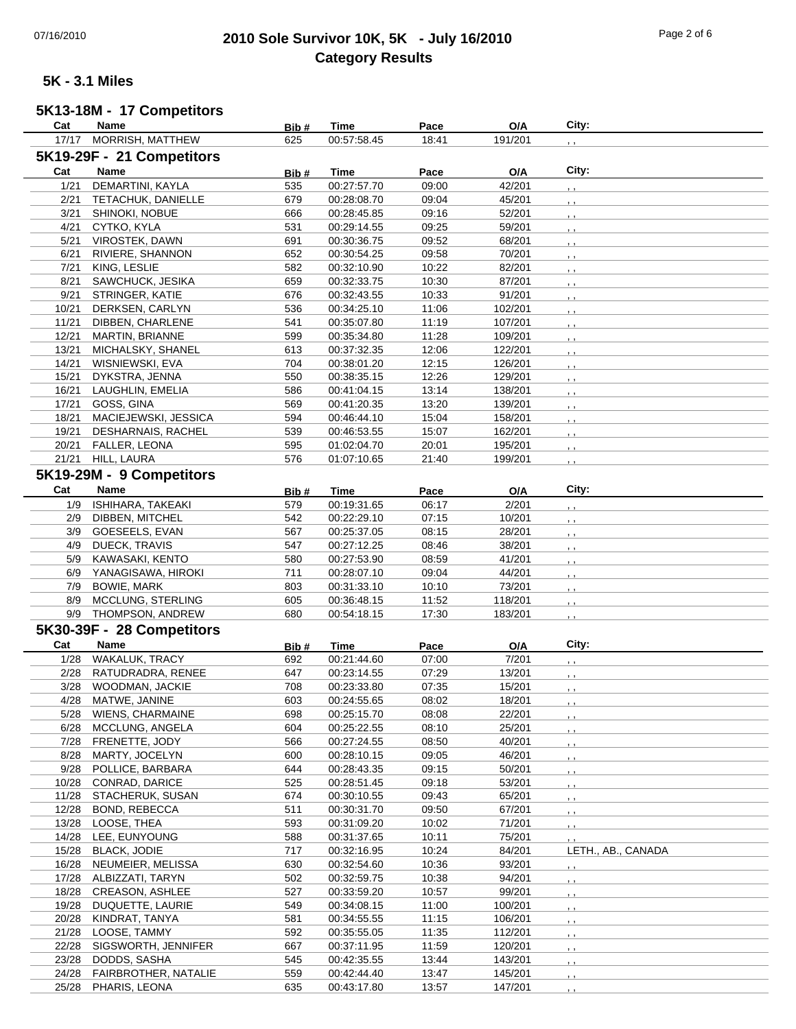## 07/16/2010 **2010 Sole Survivor 10K, 5K - July 16/2010** Page 2 of 6 **Category Results**

### **5K - 3.1 Miles**

# **5K13-18M - 17 Competitors**

| Cat            | <b>Name</b>                           | Bib#       | Time                       | Pace           | O/A                | City:              |
|----------------|---------------------------------------|------------|----------------------------|----------------|--------------------|--------------------|
| 17/17          | MORRISH, MATTHEW                      | 625        | 00:57:58.45                | 18:41          | 191/201            |                    |
|                | 5K19-29F - 21 Competitors             |            |                            |                |                    |                    |
| Cat            | Name                                  | Bib#       | <b>Time</b>                | Pace           | O/A                | City:              |
| 1/21           | DEMARTINI, KAYLA                      | 535        | 00:27:57.70                | 09:00          | 42/201             |                    |
| 2/21           | TETACHUK, DANIELLE                    | 679        | 00:28:08.70                | 09:04          | 45/201             | $, \cdot$          |
| 3/21           | SHINOKI, NOBUE                        | 666        | 00:28:45.85                | 09:16          | 52/201             |                    |
| 4/21           | CYTKO, KYLA                           | 531        | 00:29:14.55                | 09:25          | 59/201             | , ,                |
| 5/21           | <b>VIROSTEK, DAWN</b>                 | 691        | 00:30:36.75                | 09:52          | 68/201             | , ,                |
| 6/21           |                                       | 652        | 00:30:54.25                |                | 70/201             | , ,                |
|                | RIVIERE, SHANNON                      | 582        |                            | 09:58          |                    | , ,                |
| 7/21           | KING, LESLIE                          |            | 00:32:10.90                | 10:22          | 82/201             | , ,                |
| 8/21           | SAWCHUCK, JESIKA                      | 659        | 00:32:33.75                | 10:30          | 87/201             | , ,                |
| 9/21           | STRINGER, KATIE                       | 676        | 00:32:43.55                | 10:33          | 91/201             | $, \cdot$          |
| 10/21          | DERKSEN, CARLYN                       | 536        | 00:34:25.10                | 11:06          | 102/201            | , ,                |
| 11/21          | DIBBEN, CHARLENE                      | 541        | 00:35:07.80                | 11:19          | 107/201            | , ,                |
| 12/21          | MARTIN, BRIANNE                       | 599        | 00:35:34.80                | 11:28          | 109/201            | , ,                |
| 13/21          | MICHALSKY, SHANEL                     | 613        | 00:37:32.35                | 12:06          | 122/201            | , ,                |
| 14/21          | WISNIEWSKI, EVA                       | 704        | 00:38:01.20                | 12:15          | 126/201            | , ,                |
| 15/21          | DYKSTRA, JENNA                        | 550        | 00:38:35.15                | 12:26          | 129/201            | , ,                |
| 16/21          | LAUGHLIN, EMELIA                      | 586        | 00:41:04.15                | 13:14          | 138/201            | $, \, , \,$        |
| 17/21          | GOSS, GINA                            | 569        | 00:41:20.35                | 13:20          | 139/201            | , ,                |
| 18/21          | MACIEJEWSKI, JESSICA                  | 594        | 00:46:44.10                | 15:04          | 158/201            | $, \, , \,$        |
| 19/21          | DESHARNAIS, RACHEL                    | 539        | 00:46:53.55                | 15:07          | 162/201            | , ,                |
| 20/21          | FALLER, LEONA                         | 595        | 01:02:04.70                | 20:01          | 195/201            | , ,                |
| 21/21          | HILL, LAURA                           | 576        | 01:07:10.65                | 21:40          | 199/201            | , ,                |
|                | 5K19-29M - 9 Competitors              |            |                            |                |                    |                    |
| Cat            | Name                                  | Bib#       | <b>Time</b>                | Pace           | O/A                | City:              |
| 1/9            | ISHIHARA, TAKEAKI                     | 579        | 00:19:31.65                | 06:17          | 2/201              |                    |
| 2/9            | DIBBEN, MITCHEL                       | 542        | 00:22:29.10                | 07:15          | 10/201             | , ,                |
| 3/9            | GOESEELS, EVAN                        | 567        | 00:25:37.05                | 08:15          | 28/201             | , ,                |
|                |                                       | 547        |                            |                | 38/201             | $, \, , \,$        |
| 4/9            | DUECK, TRAVIS                         |            | 00:27:12.25                | 08:46          |                    | $, \, ,$           |
| 5/9            | KAWASAKI, KENTO                       | 580        | 00:27:53.90                | 08:59          | 41/201             | , ,                |
| 6/9            | YANAGISAWA, HIROKI                    | 711        | 00:28:07.10                | 09:04          | 44/201             | , ,                |
| 7/9            | <b>BOWIE, MARK</b>                    | 803        | 00:31:33.10                | 10:10          | 73/201             | $, \, , \,$        |
| 8/9            | MCCLUNG, STERLING                     | 605        | 00:36:48.15                | 11:52          | 118/201            |                    |
| 9/9            | THOMPSON, ANDREW                      | 680        | 00:54:18.15                | 17:30          | 183/201            |                    |
|                |                                       |            |                            |                |                    |                    |
|                | 5K30-39F - 28 Competitors             |            |                            |                |                    |                    |
| Cat            | Name                                  | Bib#       | Time                       | Pace           | O/A                | City:              |
| 1/28           | WAKALUK, TRACY                        | 692        | 00:21:44.60                | 07:00          | 7/201              |                    |
| 2/28           | RATUDRADRA, RENEE                     | 647        |                            | 07:29          | 13/201             |                    |
| 3/28           | WOODMAN, JACKIE                       | 708        | 00:23:14.55<br>00:23:33.80 |                |                    |                    |
| 4/28           | MATWE, JANINE                         | 603        | 00:24:55.65                | 07:35<br>08:02 | 15/201<br>18/201   | , ,                |
|                |                                       |            |                            |                |                    |                    |
| 5/28<br>6/28   | <b>WIENS, CHARMAINE</b>               | 698<br>604 | 00:25:15.70<br>00:25:22.55 | 08:08          | 22/201             |                    |
|                | MCCLUNG, ANGELA                       |            | 00:27:24.55                | 08:10          | 25/201             |                    |
| 7/28           | FRENETTE, JODY                        | 566        | 00:28:10.15                | 08:50          | 40/201             |                    |
| 8/28           | MARTY, JOCELYN                        | 600        |                            | 09:05          | 46/201             |                    |
| 9/28           | POLLICE, BARBARA                      | 644        | 00:28:43.35                | 09:15          | 50/201             |                    |
| 10/28          | CONRAD, DARICE                        | 525        | 00:28:51.45                | 09:18          | 53/201             |                    |
| 11/28          | STACHERUK, SUSAN                      | 674        | 00:30:10.55                | 09:43          | 65/201             | , ,                |
| 12/28          | <b>BOND, REBECCA</b>                  | 511        | 00:30:31.70                | 09:50          | 67/201             |                    |
| 13/28          | LOOSE, THEA                           | 593        | 00:31:09.20                | 10:02          | 71/201             | , ,                |
| 14/28          | LEE, EUNYOUNG                         | 588        | 00:31:37.65                | 10:11          | 75/201             | , ,                |
| 15/28          | <b>BLACK, JODIE</b>                   | 717        | 00:32:16.95                | 10:24          | 84/201             | LETH., AB., CANADA |
| 16/28          | NEUMEIER, MELISSA                     | 630        | 00:32:54.60                | 10:36          | 93/201             | $, \, , \,$        |
| 17/28          | ALBIZZATI, TARYN                      | 502        | 00:32:59.75                | 10:38          | 94/201             |                    |
| 18/28          | <b>CREASON, ASHLEE</b>                | 527        | 00:33:59.20                | 10:57          | 99/201             |                    |
| 19/28          | DUQUETTE, LAURIE                      | 549        | 00:34:08.15                | 11:00          | 100/201            | , ,                |
| 20/28          | KINDRAT, TANYA                        | 581        | 00:34:55.55                | 11:15          | 106/201            |                    |
| 21/28          | LOOSE, TAMMY                          | 592        | 00:35:55.05                | 11:35          | 112/201            |                    |
| 22/28          | SIGSWORTH, JENNIFER                   | 667        | 00:37:11.95                | 11:59          | 120/201            | $, \cdot$          |
| 23/28          | DODDS, SASHA                          | 545        | 00:42:35.55                | 13:44          | 143/201            | , ,                |
| 24/28<br>25/28 | FAIRBROTHER, NATALIE<br>PHARIS, LEONA | 559<br>635 | 00:42:44.40<br>00:43:17.80 | 13:47<br>13:57 | 145/201<br>147/201 | , ,                |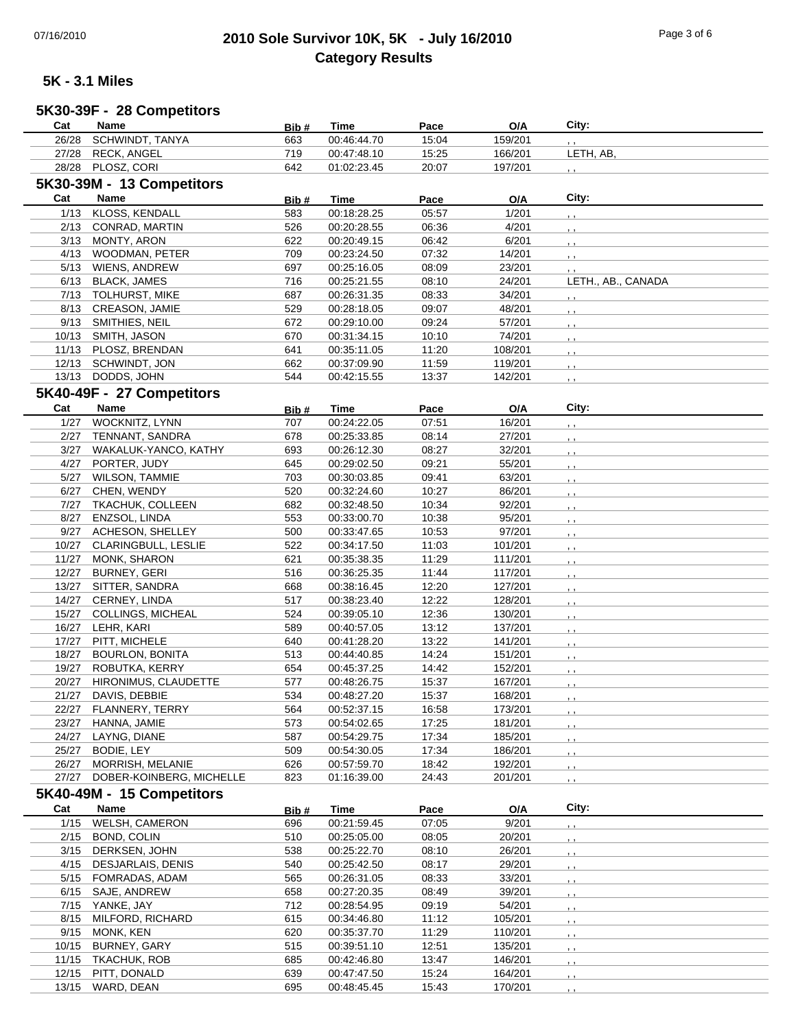## 07/16/2010 **2010 Sole Survivor 10K, 5K - July 16/2010** Page 3 of 6 **Category Results**

**Cat Name Bib # Time Pace O/A City:**

### **5K - 3.1 Miles**

#### **5K30-39F - 28 Competitors**

| 26/28 | SCHWINDT, TANYA           | 663   | 00:46:44.70 | 15:04 | 159/201 | , ,                |
|-------|---------------------------|-------|-------------|-------|---------|--------------------|
| 27/28 | <b>RECK, ANGEL</b>        | 719   | 00:47:48.10 | 15:25 | 166/201 | LETH, AB,          |
|       | 28/28 PLOSZ, CORI         | 642   | 01:02:23.45 | 20:07 | 197/201 |                    |
|       | 5K30-39M - 13 Competitors |       |             |       |         |                    |
|       |                           |       |             |       |         |                    |
| Cat   | Name                      | Bib#  | Time        | Pace  | O/A     | City:              |
| 1/13  | KLOSS, KENDALL            | 583   | 00:18:28.25 | 05:57 | 1/201   | , ,                |
| 2/13  | CONRAD, MARTIN            | 526   | 00:20:28.55 | 06:36 | 4/201   | $5 - 5$            |
| 3/13  | <b>MONTY, ARON</b>        | 622   | 00:20:49.15 | 06:42 | 6/201   | , ,                |
| 4/13  | WOODMAN, PETER            | 709   | 00:23:24.50 | 07:32 | 14/201  | $, \, , \,$        |
|       | 5/13 WIENS, ANDREW        | 697   | 00:25:16.05 | 08:09 | 23/201  | , ,                |
| 6/13  | <b>BLACK, JAMES</b>       | 716   | 00:25:21.55 | 08:10 | 24/201  | LETH., AB., CANADA |
| 7/13  | <b>TOLHURST, MIKE</b>     | 687   | 00:26:31.35 | 08:33 | 34/201  | $, \, , \,$        |
| 8/13  | CREASON, JAMIE            | 529   | 00:28:18.05 | 09:07 | 48/201  | $, \cdot$          |
|       | 9/13 SMITHIES, NEIL       | 672   | 00:29:10.00 | 09:24 | 57/201  | $, \cdot$          |
| 10/13 | SMITH, JASON              | 670   | 00:31:34.15 | 10:10 | 74/201  | , ,                |
| 11/13 | PLOSZ, BRENDAN            | 641   | 00:35:11.05 | 11:20 | 108/201 |                    |
| 12/13 | SCHWINDT, JON             | 662   | 00:37:09.90 | 11:59 | 119/201 | , ,                |
|       | 13/13 DODDS, JOHN         | 544   | 00:42:15.55 | 13:37 | 142/201 | , ,                |
|       |                           |       |             |       |         | , ,                |
|       | 5K40-49F - 27 Competitors |       |             |       |         |                    |
| Cat   | Name                      | Bib#  | Time        | Pace  | O/A     | City:              |
| 1/27  | <b>WOCKNITZ, LYNN</b>     | 707   | 00:24:22.05 | 07:51 | 16/201  | , ,                |
| 2/27  | TENNANT, SANDRA           | 678   | 00:25:33.85 | 08:14 | 27/201  | $, \, \,$          |
| 3/27  | WAKALUK-YANCO, KATHY      | 693   | 00:26:12.30 | 08:27 | 32/201  | , ,                |
| 4/27  | PORTER, JUDY              | 645   | 00:29:02.50 | 09:21 | 55/201  | , ,                |
| 5/27  | <b>WILSON, TAMMIE</b>     | 703   | 00:30:03.85 | 09:41 | 63/201  | , ,                |
| 6/27  | CHEN, WENDY               | 520   | 00:32:24.60 | 10:27 | 86/201  | $, \, \,$          |
| 7/27  | <b>TKACHUK, COLLEEN</b>   | 682   | 00:32:48.50 | 10:34 | 92/201  |                    |
| 8/27  | ENZSOL, LINDA             | 553   | 00:33:00.70 | 10:38 | 95/201  | , ,                |
| 9/27  | ACHESON, SHELLEY          | 500   | 00:33:47.65 | 10:53 | 97/201  | $, \, \, \cdot$    |
| 10/27 | CLARINGBULL, LESLIE       | 522   | 00:34:17.50 | 11:03 | 101/201 | , ,                |
|       |                           |       |             |       |         | $, \, \,$          |
| 11/27 | MONK, SHARON              | 621   | 00:35:38.35 | 11:29 | 111/201 | , ,                |
| 12/27 | <b>BURNEY, GERI</b>       | 516   | 00:36:25.35 | 11:44 | 117/201 | , ,                |
| 13/27 | SITTER, SANDRA            | 668   | 00:38:16.45 | 12:20 | 127/201 | , ,                |
| 14/27 | CERNEY, LINDA             | 517   | 00:38:23.40 | 12:22 | 128/201 | , ,                |
| 15/27 | <b>COLLINGS, MICHEAL</b>  | 524   | 00:39:05.10 | 12:36 | 130/201 |                    |
| 16/27 | LEHR, KARI                | 589   | 00:40:57.05 | 13:12 | 137/201 |                    |
| 17/27 | PITT, MICHELE             | 640   | 00:41:28.20 | 13:22 | 141/201 | , ,                |
| 18/27 | <b>BOURLON, BONITA</b>    | 513   | 00:44:40.85 | 14:24 | 151/201 |                    |
| 19/27 | ROBUTKA, KERRY            | 654   | 00:45:37.25 | 14:42 | 152/201 |                    |
| 20/27 | HIRONIMUS, CLAUDETTE      | 577   | 00:48:26.75 | 15:37 | 167/201 |                    |
| 21/27 | DAVIS, DEBBIE             | 534   | 00:48:27.20 | 15:37 | 168/201 | , ,                |
| 22/27 | FLANNERY, TERRY           | 564   | 00:52:37.15 | 16:58 | 173/201 |                    |
| 23/27 | HANNA, JAMIE              | 573   | 00:54:02.65 | 17:25 | 181/201 | $5 - 5$            |
| 24/27 | LAYNG, DIANE              | 587   | 00:54:29.75 | 17:34 | 185/201 |                    |
| 25/27 | BODIE, LEY                | 509   | 00:54:30.05 | 17:34 | 186/201 |                    |
| 26/27 | MORRISH, MELANIE          | 626   | 00:57:59.70 | 18:42 | 192/201 |                    |
| 27/27 | DOBER-KOINBERG, MICHELLE  | 823   | 01:16:39.00 | 24:43 | 201/201 |                    |
|       |                           |       |             |       |         | , ,                |
|       | 5K40-49M - 15 Competitors |       |             |       |         |                    |
| Cat   | Name                      | Bib # | <b>Time</b> | Pace  | O/A     | City:              |
| 1/15  | WELSH, CAMERON            | 696   | 00:21:59.45 | 07:05 | 9/201   |                    |
|       | 2/15 BOND, COLIN          | 510   | 00:25:05.00 | 08:05 | 20/201  |                    |
|       | 3/15 DERKSEN, JOHN        | 538   | 00:25:22.70 | 08:10 | 26/201  |                    |
|       | 4/15 DESJARLAIS, DENIS    | 540   | 00:25:42.50 | 08:17 | 29/201  |                    |
|       | 5/15 FOMRADAS, ADAM       | 565   | 00:26:31.05 | 08:33 | 33/201  |                    |
|       | 6/15 SAJE, ANDREW         | 658   | 00:27:20.35 | 08:49 | 39/201  |                    |
|       | 7/15 YANKE, JAY           | 712   | 00:28:54.95 | 09:19 | 54/201  |                    |
|       | MILFORD, RICHARD          | 615   | 00:34:46.80 | 11:12 | 105/201 |                    |
| 8/15  |                           |       |             |       |         |                    |
| 9/15  | MONK, KEN                 | 620   | 00:35:37.70 | 11:29 | 110/201 |                    |
| 10/15 | <b>BURNEY, GARY</b>       | 515   | 00:39:51.10 | 12:51 | 135/201 |                    |
| 11/15 | TKACHUK, ROB              | 685   | 00:42:46.80 | 13:47 | 146/201 |                    |
| 12/15 | PITT, DONALD              | 639   | 00:47:47.50 | 15:24 | 164/201 |                    |
| 13/15 | WARD, DEAN                | 695   | 00:48:45.45 | 15:43 | 170/201 |                    |
|       |                           |       |             |       |         |                    |